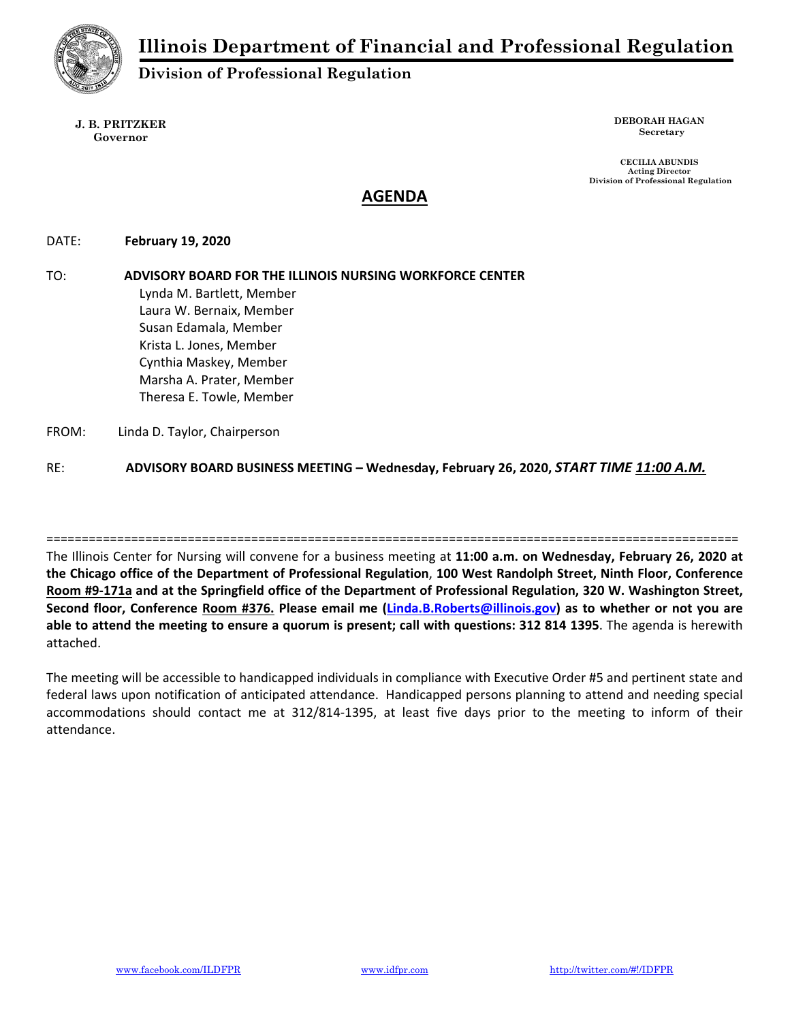

**Division of Professional Regulation** 

**J. B. PRITZKER Governor** 

**DEBORAH HAGAN Secretary** 

 **CECILIA ABUNDIS Acting Director Division of Professional Regulation** 

# **AGENDA**

DATE:  **February 19, 2020** 

TO: **ADVISORY BOARD FOR THE ILLINOIS NURSING WORKFORCE CENTER** Lynda M. Bartlett, Member Laura W. Bernaix, Member Susan Edamala, Member Krista L. Jones, Member Cynthia Maskey, Member Marsha A. Prater, Member Theresa E. Towle, Member FROM: Linda D. Taylor, Chairperson

RE: **ADVISORY BOARD BUSINESS MEETING – Wednesday, February 26, 2020,** *START TIME 11:00 A.M.*

The Illinois Center for Nursing will convene for a business meeting at **11:00 a.m. on Wednesday, February 26, 2020 at the Chicago office of the Department of Professional Regulation**, **100 West Randolph Street, Ninth Floor, Conference Room #9‐171a and at the Springfield office of the Department of Professional Regulation, 320 W. Washington Street, Second floor, Conference Room #376. Please email me (Linda.B.Roberts@illinois.gov) as to whether or not you are able to attend the meeting to ensure a quorum is present; call with questions: 312 814 1395**. The agenda is herewith attached.

==================================================================================================

The meeting will be accessible to handicapped individuals in compliance with Executive Order #5 and pertinent state and federal laws upon notification of anticipated attendance. Handicapped persons planning to attend and needing special accommodations should contact me at 312/814‐1395, at least five days prior to the meeting to inform of their attendance.